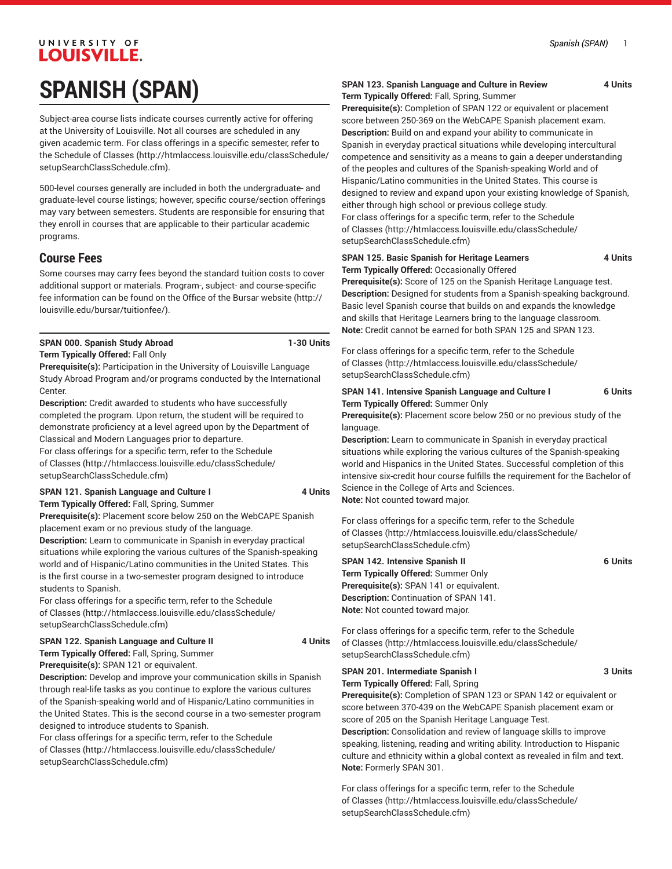# UNIVERSITY OF **LOUISVILLE. SPANISH (SPAN)**

Subject-area course lists indicate courses currently active for offering at the University of Louisville. Not all courses are scheduled in any given academic term. For class offerings in a specific semester, refer to the [Schedule of Classes](http://htmlaccess.louisville.edu/classSchedule/setupSearchClassSchedule.cfm) ([http://htmlaccess.louisville.edu/classSchedule/](http://htmlaccess.louisville.edu/classSchedule/setupSearchClassSchedule.cfm) [setupSearchClassSchedule.cfm\)](http://htmlaccess.louisville.edu/classSchedule/setupSearchClassSchedule.cfm).

500-level courses generally are included in both the undergraduate- and graduate-level course listings; however, specific course/section offerings may vary between semesters. Students are responsible for ensuring that they enroll in courses that are applicable to their particular academic programs.

## **Course Fees**

Some courses may carry fees beyond the standard tuition costs to cover additional support or materials. Program-, subject- and course-specific fee information can be found on the [Office of the Bursar website](http://louisville.edu/bursar/tuitionfee/) ([http://](http://louisville.edu/bursar/tuitionfee/) [louisville.edu/bursar/tuitionfee/](http://louisville.edu/bursar/tuitionfee/)).

**SPAN 000. Spanish Study Abroad 1-30 Units**

#### **Term Typically Offered:** Fall Only

**Prerequisite(s):** Participation in the University of Louisville Language Study Abroad Program and/or programs conducted by the International Center.

**Description:** Credit awarded to students who have successfully completed the program. Upon return, the student will be required to demonstrate proficiency at a level agreed upon by the Department of Classical and Modern Languages prior to departure.

For class offerings for a specific term, refer to the [Schedule](http://htmlaccess.louisville.edu/classSchedule/setupSearchClassSchedule.cfm) [of Classes \(http://htmlaccess.louisville.edu/classSchedule/](http://htmlaccess.louisville.edu/classSchedule/setupSearchClassSchedule.cfm) [setupSearchClassSchedule.cfm\)](http://htmlaccess.louisville.edu/classSchedule/setupSearchClassSchedule.cfm)

# **SPAN 121. Spanish Language and Culture I 4 Units**

**Term Typically Offered:** Fall, Spring, Summer

**Prerequisite(s):** Placement score below 250 on the WebCAPE Spanish placement exam or no previous study of the language.

**Description:** Learn to communicate in Spanish in everyday practical situations while exploring the various cultures of the Spanish-speaking world and of Hispanic/Latino communities in the United States. This is the first course in a two-semester program designed to introduce students to Spanish.

For class offerings for a specific term, refer to the [Schedule](http://htmlaccess.louisville.edu/classSchedule/setupSearchClassSchedule.cfm) [of Classes \(http://htmlaccess.louisville.edu/classSchedule/](http://htmlaccess.louisville.edu/classSchedule/setupSearchClassSchedule.cfm) [setupSearchClassSchedule.cfm\)](http://htmlaccess.louisville.edu/classSchedule/setupSearchClassSchedule.cfm)

#### **SPAN 122. Spanish Language and Culture II 4 Units**

**Term Typically Offered:** Fall, Spring, Summer **Prerequisite(s):** SPAN 121 or equivalent.

**Description:** Develop and improve your communication skills in Spanish through real-life tasks as you continue to explore the various cultures of the Spanish-speaking world and of Hispanic/Latino communities in the United States. This is the second course in a two-semester program designed to introduce students to Spanish.

For class offerings for a specific term, refer to the [Schedule](http://htmlaccess.louisville.edu/classSchedule/setupSearchClassSchedule.cfm) [of Classes \(http://htmlaccess.louisville.edu/classSchedule/](http://htmlaccess.louisville.edu/classSchedule/setupSearchClassSchedule.cfm) [setupSearchClassSchedule.cfm\)](http://htmlaccess.louisville.edu/classSchedule/setupSearchClassSchedule.cfm)

#### **SPAN 123. Spanish Language and Culture in Review 4 Units Term Typically Offered:** Fall, Spring, Summer

**Prerequisite(s):** Completion of SPAN 122 or equivalent or placement score between 250-369 on the WebCAPE Spanish placement exam. **Description:** Build on and expand your ability to communicate in Spanish in everyday practical situations while developing intercultural competence and sensitivity as a means to gain a deeper understanding of the peoples and cultures of the Spanish-speaking World and of Hispanic/Latino communities in the United States. This course is designed to review and expand upon your existing knowledge of Spanish, either through high school or previous college study. For class offerings for a specific term, refer to the [Schedule](http://htmlaccess.louisville.edu/classSchedule/setupSearchClassSchedule.cfm) [of Classes](http://htmlaccess.louisville.edu/classSchedule/setupSearchClassSchedule.cfm) ([http://htmlaccess.louisville.edu/classSchedule/](http://htmlaccess.louisville.edu/classSchedule/setupSearchClassSchedule.cfm) [setupSearchClassSchedule.cfm\)](http://htmlaccess.louisville.edu/classSchedule/setupSearchClassSchedule.cfm)

#### **SPAN 125. Basic Spanish for Heritage Learners 4 Units Term Typically Offered:** Occasionally Offered

**Prerequisite(s):** Score of 125 on the Spanish Heritage Language test. **Description:** Designed for students from a Spanish-speaking background. Basic level Spanish course that builds on and expands the knowledge and skills that Heritage Learners bring to the language classroom. **Note:** Credit cannot be earned for both SPAN 125 and SPAN 123.

For class offerings for a specific term, refer to the [Schedule](http://htmlaccess.louisville.edu/classSchedule/setupSearchClassSchedule.cfm) [of Classes](http://htmlaccess.louisville.edu/classSchedule/setupSearchClassSchedule.cfm) ([http://htmlaccess.louisville.edu/classSchedule/](http://htmlaccess.louisville.edu/classSchedule/setupSearchClassSchedule.cfm) [setupSearchClassSchedule.cfm\)](http://htmlaccess.louisville.edu/classSchedule/setupSearchClassSchedule.cfm)

#### **SPAN 141. Intensive Spanish Language and Culture I 6 Units Term Typically Offered:** Summer Only

**Prerequisite(s):** Placement score below 250 or no previous study of the language.

**Description:** Learn to communicate in Spanish in everyday practical situations while exploring the various cultures of the Spanish-speaking world and Hispanics in the United States. Successful completion of this intensive six-credit hour course fulfills the requirement for the Bachelor of Science in the College of Arts and Sciences. **Note:** Not counted toward major.

For class offerings for a specific term, refer to the [Schedule](http://htmlaccess.louisville.edu/classSchedule/setupSearchClassSchedule.cfm) [of Classes](http://htmlaccess.louisville.edu/classSchedule/setupSearchClassSchedule.cfm) ([http://htmlaccess.louisville.edu/classSchedule/](http://htmlaccess.louisville.edu/classSchedule/setupSearchClassSchedule.cfm) [setupSearchClassSchedule.cfm\)](http://htmlaccess.louisville.edu/classSchedule/setupSearchClassSchedule.cfm)

## **SPAN 142. Intensive Spanish II 6 Units Term Typically Offered:** Summer Only **Prerequisite(s):** SPAN 141 or equivalent.

**Description:** Continuation of SPAN 141. **Note:** Not counted toward major.

For class offerings for a specific term, refer to the [Schedule](http://htmlaccess.louisville.edu/classSchedule/setupSearchClassSchedule.cfm) [of Classes](http://htmlaccess.louisville.edu/classSchedule/setupSearchClassSchedule.cfm) ([http://htmlaccess.louisville.edu/classSchedule/](http://htmlaccess.louisville.edu/classSchedule/setupSearchClassSchedule.cfm) [setupSearchClassSchedule.cfm\)](http://htmlaccess.louisville.edu/classSchedule/setupSearchClassSchedule.cfm)

### **SPAN 201. Intermediate Spanish I 3 Units Term Typically Offered:** Fall, Spring

**Prerequisite(s):** Completion of SPAN 123 or SPAN 142 or equivalent or score between 370-439 on the WebCAPE Spanish placement exam or score of 205 on the Spanish Heritage Language Test.

**Description:** Consolidation and review of language skills to improve speaking, listening, reading and writing ability. Introduction to Hispanic culture and ethnicity within a global context as revealed in film and text. **Note:** Formerly SPAN 301.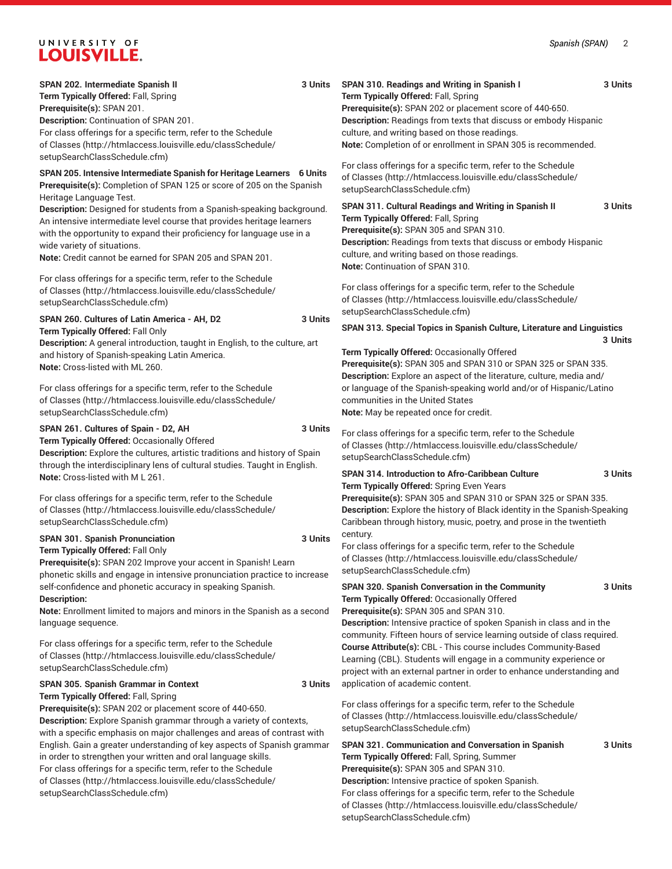# UNIVERSITY OF

| LUUISVILLE.                                                                                                                                                                                                                                                                                                                                                                                       |                                                                                                                                                                                                                                                                                                                                                                                                                    |
|---------------------------------------------------------------------------------------------------------------------------------------------------------------------------------------------------------------------------------------------------------------------------------------------------------------------------------------------------------------------------------------------------|--------------------------------------------------------------------------------------------------------------------------------------------------------------------------------------------------------------------------------------------------------------------------------------------------------------------------------------------------------------------------------------------------------------------|
| SPAN 202. Intermediate Spanish II<br>3 Units<br>Term Typically Offered: Fall, Spring<br>Prerequisite(s): SPAN 201.<br>Description: Continuation of SPAN 201.<br>For class offerings for a specific term, refer to the Schedule<br>of Classes (http://htmlaccess.louisville.edu/classSchedule/<br>setupSearchClassSchedule.cfm)                                                                    | SPAN 310. Readings and Writing in Spanish I<br>3 Units<br>Term Typically Offered: Fall, Spring<br>Prerequisite(s): SPAN 202 or placement score of 440-650.<br>Description: Readings from texts that discuss or embody Hispanic<br>culture, and writing based on those readings.<br>Note: Completion of or enrollment in SPAN 305 is recommended.<br>For class offerings for a specific term, refer to the Schedule |
| SPAN 205. Intensive Intermediate Spanish for Heritage Learners 6 Units<br>Prerequisite(s): Completion of SPAN 125 or score of 205 on the Spanish<br>Heritage Language Test.                                                                                                                                                                                                                       | of Classes (http://htmlaccess.louisville.edu/classSchedule/<br>setupSearchClassSchedule.cfm)                                                                                                                                                                                                                                                                                                                       |
| Description: Designed for students from a Spanish-speaking background.<br>An intensive intermediate level course that provides heritage learners<br>with the opportunity to expand their proficiency for language use in a<br>wide variety of situations.<br>Note: Credit cannot be earned for SPAN 205 and SPAN 201.                                                                             | SPAN 311. Cultural Readings and Writing in Spanish II<br>3 Units<br>Term Typically Offered: Fall, Spring<br>Prerequisite(s): SPAN 305 and SPAN 310.<br>Description: Readings from texts that discuss or embody Hispanic<br>culture, and writing based on those readings.<br>Note: Continuation of SPAN 310.                                                                                                        |
| For class offerings for a specific term, refer to the Schedule<br>of Classes (http://htmlaccess.louisville.edu/classSchedule/<br>setupSearchClassSchedule.cfm)                                                                                                                                                                                                                                    | For class offerings for a specific term, refer to the Schedule<br>of Classes (http://htmlaccess.louisville.edu/classSchedule/<br>setupSearchClassSchedule.cfm)                                                                                                                                                                                                                                                     |
| 3 Units<br>SPAN 260. Cultures of Latin America - AH, D2<br>Term Typically Offered: Fall Only<br>Description: A general introduction, taught in English, to the culture, art<br>and history of Spanish-speaking Latin America.<br>Note: Cross-listed with ML 260.<br>For class offerings for a specific term, refer to the Schedule<br>of Classes (http://htmlaccess.louisville.edu/classSchedule/ | SPAN 313. Special Topics in Spanish Culture, Literature and Linguistics<br>3 Units<br>Term Typically Offered: Occasionally Offered<br>Prerequisite(s): SPAN 305 and SPAN 310 or SPAN 325 or SPAN 335.<br>Description: Explore an aspect of the literature, culture, media and/<br>or language of the Spanish-speaking world and/or of Hispanic/Latino<br>communities in the United States                          |
| setupSearchClassSchedule.cfm)<br>SPAN 261. Cultures of Spain - D2, AH<br>3 Units<br>Term Typically Offered: Occasionally Offered<br>Description: Explore the cultures, artistic traditions and history of Spain<br>through the interdisciplinary lens of cultural studies. Taught in English.                                                                                                     | Note: May be repeated once for credit.<br>For class offerings for a specific term, refer to the Schedule<br>of Classes (http://htmlaccess.louisville.edu/classSchedule/<br>setupSearchClassSchedule.cfm)                                                                                                                                                                                                           |
| Note: Cross-listed with M L 261.<br>For class offerings for a specific term, refer to the Schedule<br>of Classes (http://htmlaccess.louisville.edu/classSchedule/<br>setupSearchClassSchedule.cfm)                                                                                                                                                                                                | SPAN 314. Introduction to Afro-Caribbean Culture<br>3 Units<br>Term Typically Offered: Spring Even Years<br>Prerequisite(s): SPAN 305 and SPAN 310 or SPAN 325 or SPAN 335.<br>Description: Explore the history of Black identity in the Spanish-Speaking<br>Caribbean through history, music, poetry, and prose in the twentieth                                                                                  |
| SPAN 301. Spanish Pronunciation<br>3 Units<br>Term Typically Offered: Fall Only<br>Prerequisite(s): SPAN 202 Improve your accent in Spanish! Learn<br>phonetic skills and engage in intensive pronunciation practice to increase                                                                                                                                                                  | century.<br>For class offerings for a specific term, refer to the Schedule<br>of Classes (http://htmlaccess.louisville.edu/classSchedule/<br>setupSearchClassSchedule.cfm)                                                                                                                                                                                                                                         |
| self-confidence and phonetic accuracy in speaking Spanish.<br><b>Description:</b><br>Note: Enrollment limited to majors and minors in the Spanish as a second<br>language sequence.                                                                                                                                                                                                               | SPAN 320. Spanish Conversation in the Community<br>3 Units<br>Term Typically Offered: Occasionally Offered<br>Prerequisite(s): SPAN 305 and SPAN 310.<br>Description: Intensive practice of spoken Spanish in class and in the<br>community. Fifteen hours of service learning outside of class required.                                                                                                          |
| For class offerings for a specific term, refer to the Schedule<br>of Classes (http://htmlaccess.louisville.edu/classSchedule/<br>setupSearchClassSchedule.cfm)                                                                                                                                                                                                                                    | Course Attribute(s): CBL - This course includes Community-Based<br>Learning (CBL). Students will engage in a community experience or<br>project with an external partner in order to enhance understanding and                                                                                                                                                                                                     |
| SPAN 305. Spanish Grammar in Context<br>3 Units<br>Term Typically Offered: Fall, Spring<br>Prerequisite(s): SPAN 202 or placement score of 440-650.<br>Description: Explore Spanish grammar through a variety of contexts,<br>with a specific emphasis on major challenges and areas of contrast with<br>English. Gain a greater understanding of key aspects of Spanish grammar                  | application of academic content.<br>For class offerings for a specific term, refer to the Schedule<br>of Classes (http://htmlaccess.louisville.edu/classSchedule/<br>setupSearchClassSchedule.cfm)<br>SPAN 321. Communication and Conversation in Spanish<br>3 Units                                                                                                                                               |
| in order to strengthen your written and oral language skills.<br>For class offerings for a specific term, refer to the Schedule<br>of Classes (http://htmlaccess.louisville.edu/classSchedule/                                                                                                                                                                                                    | Term Typically Offered: Fall, Spring, Summer<br>Prerequisite(s): SPAN 305 and SPAN 310.<br>Description: Intensive practice of spoken Spanish.                                                                                                                                                                                                                                                                      |

[setupSearchClassSchedule.cfm\)](http://htmlaccess.louisville.edu/classSchedule/setupSearchClassSchedule.cfm)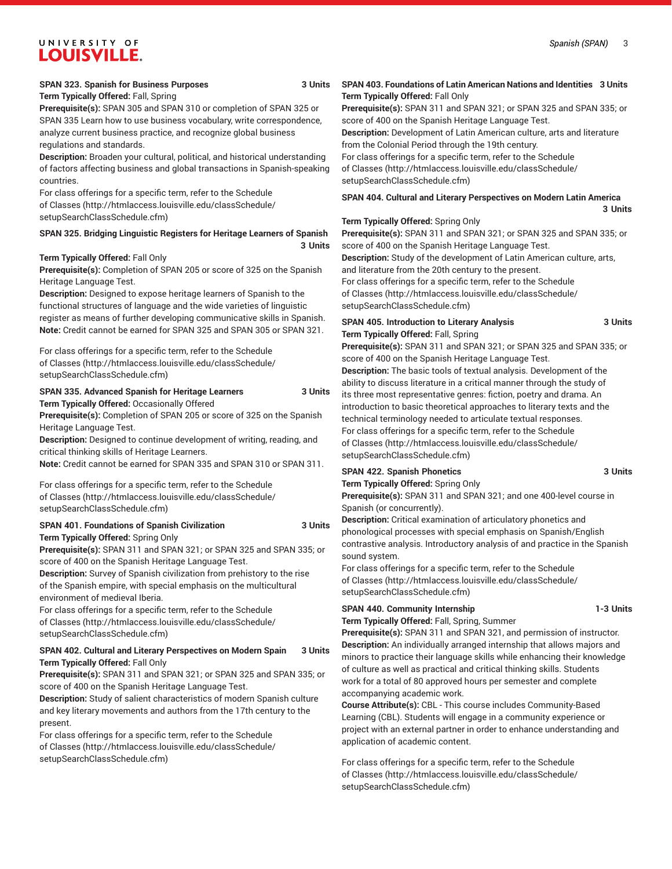# UNIVERSITY OF **LOUISVILLE.**

**Term Typically Offered:** Fall, Spring

**Prerequisite(s):** SPAN 305 and SPAN 310 or completion of SPAN 325 or SPAN 335 Learn how to use business vocabulary, write correspondence, analyze current business practice, and recognize global business regulations and standards.

**Description:** Broaden your cultural, political, and historical understanding of factors affecting business and global transactions in Spanish-speaking countries.

For class offerings for a specific term, refer to the [Schedule](http://htmlaccess.louisville.edu/classSchedule/setupSearchClassSchedule.cfm) [of Classes \(http://htmlaccess.louisville.edu/classSchedule/](http://htmlaccess.louisville.edu/classSchedule/setupSearchClassSchedule.cfm) [setupSearchClassSchedule.cfm\)](http://htmlaccess.louisville.edu/classSchedule/setupSearchClassSchedule.cfm)

#### **SPAN 325. Bridging Linguistic Registers for Heritage Learners of Spanish 3 Units**

#### **Term Typically Offered:** Fall Only

**Prerequisite(s):** Completion of SPAN 205 or score of 325 on the Spanish Heritage Language Test.

**Description:** Designed to expose heritage learners of Spanish to the functional structures of language and the wide varieties of linguistic register as means of further developing communicative skills in Spanish. **Note:** Credit cannot be earned for SPAN 325 and SPAN 305 or SPAN 321.

For class offerings for a specific term, refer to the [Schedule](http://htmlaccess.louisville.edu/classSchedule/setupSearchClassSchedule.cfm) [of Classes \(http://htmlaccess.louisville.edu/classSchedule/](http://htmlaccess.louisville.edu/classSchedule/setupSearchClassSchedule.cfm) [setupSearchClassSchedule.cfm\)](http://htmlaccess.louisville.edu/classSchedule/setupSearchClassSchedule.cfm)

**SPAN 335. Advanced Spanish for Heritage Learners 3 Units Term Typically Offered:** Occasionally Offered

**Prerequisite(s):** Completion of SPAN 205 or score of 325 on the Spanish Heritage Language Test.

**Description:** Designed to continue development of writing, reading, and critical thinking skills of Heritage Learners.

**Note:** Credit cannot be earned for SPAN 335 and SPAN 310 or SPAN 311.

For class offerings for a specific term, refer to the [Schedule](http://htmlaccess.louisville.edu/classSchedule/setupSearchClassSchedule.cfm) [of Classes \(http://htmlaccess.louisville.edu/classSchedule/](http://htmlaccess.louisville.edu/classSchedule/setupSearchClassSchedule.cfm) [setupSearchClassSchedule.cfm\)](http://htmlaccess.louisville.edu/classSchedule/setupSearchClassSchedule.cfm)

#### **SPAN 401. Foundations of Spanish Civilization 3 Units Term Typically Offered:** Spring Only

**Prerequisite(s):** SPAN 311 and SPAN 321; or SPAN 325 and SPAN 335; or score of 400 on the Spanish Heritage Language Test.

**Description:** Survey of Spanish civilization from prehistory to the rise of the Spanish empire, with special emphasis on the multicultural environment of medieval Iberia.

For class offerings for a specific term, refer to the [Schedule](http://htmlaccess.louisville.edu/classSchedule/setupSearchClassSchedule.cfm) [of Classes \(http://htmlaccess.louisville.edu/classSchedule/](http://htmlaccess.louisville.edu/classSchedule/setupSearchClassSchedule.cfm) [setupSearchClassSchedule.cfm\)](http://htmlaccess.louisville.edu/classSchedule/setupSearchClassSchedule.cfm)

#### **SPAN 402. Cultural and Literary Perspectives on Modern Spain 3 Units Term Typically Offered:** Fall Only

**Prerequisite(s):** SPAN 311 and SPAN 321; or SPAN 325 and SPAN 335; or score of 400 on the Spanish Heritage Language Test.

**Description:** Study of salient characteristics of modern Spanish culture and key literary movements and authors from the 17th century to the present.

For class offerings for a specific term, refer to the [Schedule](http://htmlaccess.louisville.edu/classSchedule/setupSearchClassSchedule.cfm) [of Classes \(http://htmlaccess.louisville.edu/classSchedule/](http://htmlaccess.louisville.edu/classSchedule/setupSearchClassSchedule.cfm) [setupSearchClassSchedule.cfm\)](http://htmlaccess.louisville.edu/classSchedule/setupSearchClassSchedule.cfm)

#### **SPAN 403. Foundations of Latin American Nations and Identities 3 Units Term Typically Offered:** Fall Only

**Prerequisite(s):** SPAN 311 and SPAN 321; or SPAN 325 and SPAN 335; or score of 400 on the Spanish Heritage Language Test.

**Description:** Development of Latin American culture, arts and literature from the Colonial Period through the 19th century.

For class offerings for a specific term, refer to the [Schedule](http://htmlaccess.louisville.edu/classSchedule/setupSearchClassSchedule.cfm)

[of Classes](http://htmlaccess.louisville.edu/classSchedule/setupSearchClassSchedule.cfm) ([http://htmlaccess.louisville.edu/classSchedule/](http://htmlaccess.louisville.edu/classSchedule/setupSearchClassSchedule.cfm) [setupSearchClassSchedule.cfm\)](http://htmlaccess.louisville.edu/classSchedule/setupSearchClassSchedule.cfm)

#### **SPAN 404. Cultural and Literary Perspectives on Modern Latin America 3 Units**

#### **Term Typically Offered:** Spring Only

**Prerequisite(s):** SPAN 311 and SPAN 321; or SPAN 325 and SPAN 335; or score of 400 on the Spanish Heritage Language Test.

**Description:** Study of the development of Latin American culture, arts, and literature from the 20th century to the present. For class offerings for a specific term, refer to the [Schedule](http://htmlaccess.louisville.edu/classSchedule/setupSearchClassSchedule.cfm) [of Classes](http://htmlaccess.louisville.edu/classSchedule/setupSearchClassSchedule.cfm) ([http://htmlaccess.louisville.edu/classSchedule/](http://htmlaccess.louisville.edu/classSchedule/setupSearchClassSchedule.cfm)

[setupSearchClassSchedule.cfm\)](http://htmlaccess.louisville.edu/classSchedule/setupSearchClassSchedule.cfm)

#### **SPAN 405. Introduction to Literary Analysis 3 Units Term Typically Offered:** Fall, Spring

**Prerequisite(s):** SPAN 311 and SPAN 321; or SPAN 325 and SPAN 335; or score of 400 on the Spanish Heritage Language Test. **Description:** The basic tools of textual analysis. Development of the

ability to discuss literature in a critical manner through the study of its three most representative genres: fiction, poetry and drama. An introduction to basic theoretical approaches to literary texts and the technical terminology needed to articulate textual responses. For class offerings for a specific term, refer to the [Schedule](http://htmlaccess.louisville.edu/classSchedule/setupSearchClassSchedule.cfm) [of Classes](http://htmlaccess.louisville.edu/classSchedule/setupSearchClassSchedule.cfm) ([http://htmlaccess.louisville.edu/classSchedule/](http://htmlaccess.louisville.edu/classSchedule/setupSearchClassSchedule.cfm) [setupSearchClassSchedule.cfm\)](http://htmlaccess.louisville.edu/classSchedule/setupSearchClassSchedule.cfm)

#### **SPAN 422. Spanish Phonetics 3 Units**

#### **Term Typically Offered:** Spring Only

**Prerequisite(s):** SPAN 311 and SPAN 321; and one 400-level course in Spanish (or concurrently).

**Description:** Critical examination of articulatory phonetics and phonological processes with special emphasis on Spanish/English contrastive analysis. Introductory analysis of and practice in the Spanish sound system.

For class offerings for a specific term, refer to the [Schedule](http://htmlaccess.louisville.edu/classSchedule/setupSearchClassSchedule.cfm) [of Classes](http://htmlaccess.louisville.edu/classSchedule/setupSearchClassSchedule.cfm) ([http://htmlaccess.louisville.edu/classSchedule/](http://htmlaccess.louisville.edu/classSchedule/setupSearchClassSchedule.cfm) [setupSearchClassSchedule.cfm\)](http://htmlaccess.louisville.edu/classSchedule/setupSearchClassSchedule.cfm)

#### **SPAN 440. Community Internship 1-3 Units**

**Term Typically Offered:** Fall, Spring, Summer

**Prerequisite(s):** SPAN 311 and SPAN 321, and permission of instructor. **Description:** An individually arranged internship that allows majors and minors to practice their language skills while enhancing their knowledge of culture as well as practical and critical thinking skills. Students work for a total of 80 approved hours per semester and complete accompanying academic work.

**Course Attribute(s):** CBL - This course includes Community-Based Learning (CBL). Students will engage in a community experience or project with an external partner in order to enhance understanding and application of academic content.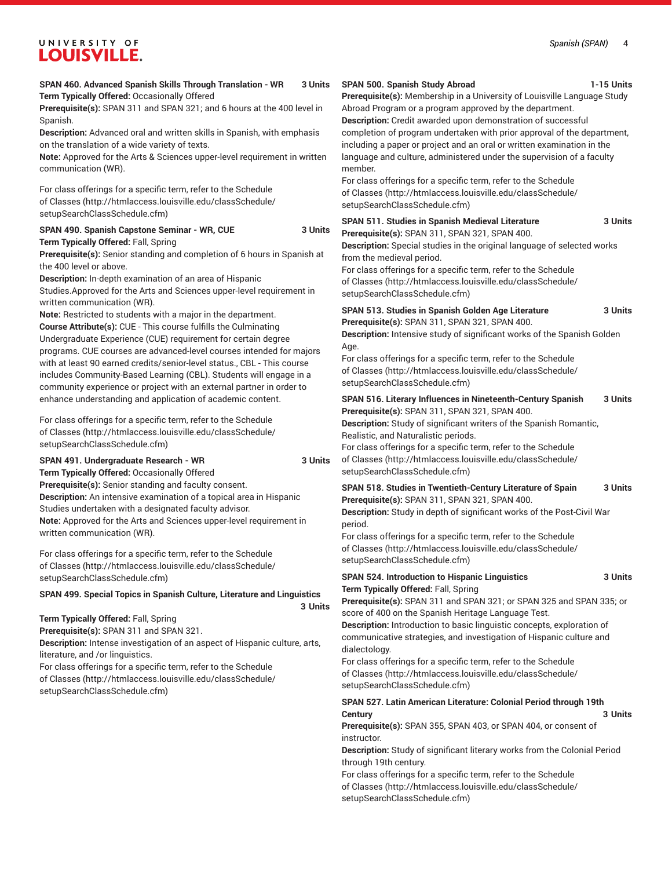#### *Spanish (SPAN)* 4

# UNIVERSITY OF **LOUISVILLE.**

| SPAN 460. Advanced Spanish Skills Through Translation - WR<br>3 Units<br>Term Typically Offered: Occasionally Offered<br>Prerequisite(s): SPAN 311 and SPAN 321; and 6 hours at the 400 level in<br>Spanish.<br>Description: Advanced oral and written skills in Spanish, with emphasis                                                                                                                                                                                                                                                                                                                                                                                                                                                                                                                                                                                                                                                                                                                                                                                                                                                                                                                                               | SPAN 500. Spanish Study Abroad<br>1-15 Units<br>Prerequisite(s): Membership in a University of Louisville Language Study<br>Abroad Program or a program approved by the department.<br>Description: Credit awarded upon demonstration of successful<br>completion of program undertaken with prior approval of the department,<br>including a paper or project and an oral or written examination in the<br>language and culture, administered under the supervision of a faculty<br>member.<br>For class offerings for a specific term, refer to the Schedule<br>of Classes (http://htmlaccess.louisville.edu/classSchedule/<br>setupSearchClassSchedule.cfm) |
|---------------------------------------------------------------------------------------------------------------------------------------------------------------------------------------------------------------------------------------------------------------------------------------------------------------------------------------------------------------------------------------------------------------------------------------------------------------------------------------------------------------------------------------------------------------------------------------------------------------------------------------------------------------------------------------------------------------------------------------------------------------------------------------------------------------------------------------------------------------------------------------------------------------------------------------------------------------------------------------------------------------------------------------------------------------------------------------------------------------------------------------------------------------------------------------------------------------------------------------|----------------------------------------------------------------------------------------------------------------------------------------------------------------------------------------------------------------------------------------------------------------------------------------------------------------------------------------------------------------------------------------------------------------------------------------------------------------------------------------------------------------------------------------------------------------------------------------------------------------------------------------------------------------|
| on the translation of a wide variety of texts.<br>Note: Approved for the Arts & Sciences upper-level requirement in written<br>communication (WR).<br>For class offerings for a specific term, refer to the Schedule                                                                                                                                                                                                                                                                                                                                                                                                                                                                                                                                                                                                                                                                                                                                                                                                                                                                                                                                                                                                                  |                                                                                                                                                                                                                                                                                                                                                                                                                                                                                                                                                                                                                                                                |
| of Classes (http://htmlaccess.louisville.edu/classSchedule/<br>setupSearchClassSchedule.cfm)                                                                                                                                                                                                                                                                                                                                                                                                                                                                                                                                                                                                                                                                                                                                                                                                                                                                                                                                                                                                                                                                                                                                          |                                                                                                                                                                                                                                                                                                                                                                                                                                                                                                                                                                                                                                                                |
| SPAN 490. Spanish Capstone Seminar - WR, CUE<br>3 Units<br>Term Typically Offered: Fall, Spring<br>Prerequisite(s): Senior standing and completion of 6 hours in Spanish at<br>the 400 level or above.<br>Description: In-depth examination of an area of Hispanic<br>Studies Approved for the Arts and Sciences upper-level requirement in                                                                                                                                                                                                                                                                                                                                                                                                                                                                                                                                                                                                                                                                                                                                                                                                                                                                                           | SPAN 511. Studies in Spanish Medieval Literature<br>3 Units<br>Prerequisite(s): SPAN 311, SPAN 321, SPAN 400.<br>Description: Special studies in the original language of selected works<br>from the medieval period.<br>For class offerings for a specific term, refer to the Schedule<br>of Classes (http://htmlaccess.louisville.edu/classSchedule/<br>setupSearchClassSchedule.cfm)                                                                                                                                                                                                                                                                        |
| written communication (WR).<br>Note: Restricted to students with a major in the department.<br>Course Attribute(s): CUE - This course fulfills the Culminating<br>Undergraduate Experience (CUE) requirement for certain degree<br>programs. CUE courses are advanced-level courses intended for majors<br>with at least 90 earned credits/senior-level status., CBL - This course<br>includes Community-Based Learning (CBL). Students will engage in a<br>community experience or project with an external partner in order to<br>enhance understanding and application of academic content.<br>For class offerings for a specific term, refer to the Schedule<br>of Classes (http://htmlaccess.louisville.edu/classSchedule/<br>setupSearchClassSchedule.cfm)<br>SPAN 491. Undergraduate Research - WR<br>3 Units<br>Term Typically Offered: Occasionally Offered<br>Prerequisite(s): Senior standing and faculty consent.<br>Description: An intensive examination of a topical area in Hispanic<br>Studies undertaken with a designated faculty advisor.<br>Note: Approved for the Arts and Sciences upper-level requirement in<br>written communication (WR).<br>For class offerings for a specific term, refer to the Schedule | SPAN 513. Studies in Spanish Golden Age Literature<br>3 Units<br>Prerequisite(s): SPAN 311, SPAN 321, SPAN 400.<br>Description: Intensive study of significant works of the Spanish Golden<br>Age.<br>For class offerings for a specific term, refer to the Schedule<br>of Classes (http://htmlaccess.louisville.edu/classSchedule/<br>setupSearchClassSchedule.cfm)                                                                                                                                                                                                                                                                                           |
|                                                                                                                                                                                                                                                                                                                                                                                                                                                                                                                                                                                                                                                                                                                                                                                                                                                                                                                                                                                                                                                                                                                                                                                                                                       | SPAN 516. Literary Influences in Nineteenth-Century Spanish<br>3 Units<br>Prerequisite(s): SPAN 311, SPAN 321, SPAN 400.<br>Description: Study of significant writers of the Spanish Romantic,<br>Realistic, and Naturalistic periods.<br>For class offerings for a specific term, refer to the Schedule<br>of Classes (http://htmlaccess.louisville.edu/classSchedule/<br>setupSearchClassSchedule.cfm)                                                                                                                                                                                                                                                       |
|                                                                                                                                                                                                                                                                                                                                                                                                                                                                                                                                                                                                                                                                                                                                                                                                                                                                                                                                                                                                                                                                                                                                                                                                                                       | SPAN 518. Studies in Twentieth-Century Literature of Spain<br>3 Units<br>Prerequisite(s): SPAN 311, SPAN 321, SPAN 400.<br>Description: Study in depth of significant works of the Post-Civil War<br>period.<br>For class offerings for a specific term, refer to the Schedule<br>of Classes (http://htmlaccess.louisville.edu/classSchedule/<br>setupSearchClassSchedule.cfm)                                                                                                                                                                                                                                                                                 |
| of Classes (http://htmlaccess.louisville.edu/classSchedule/<br>setupSearchClassSchedule.cfm)                                                                                                                                                                                                                                                                                                                                                                                                                                                                                                                                                                                                                                                                                                                                                                                                                                                                                                                                                                                                                                                                                                                                          | <b>SPAN 524. Introduction to Hispanic Linguistics</b><br>3 Units<br>Term Typically Offered: Fall, Spring                                                                                                                                                                                                                                                                                                                                                                                                                                                                                                                                                       |
| SPAN 499. Special Topics in Spanish Culture, Literature and Linguistics<br>3 Units<br>Term Typically Offered: Fall, Spring<br>Prerequisite(s): SPAN 311 and SPAN 321.<br>Description: Intense investigation of an aspect of Hispanic culture, arts,<br>literature, and /or linguistics.<br>For class offerings for a specific term, refer to the Schedule<br>of Classes (http://htmlaccess.louisville.edu/classSchedule/<br>setupSearchClassSchedule.cfm)                                                                                                                                                                                                                                                                                                                                                                                                                                                                                                                                                                                                                                                                                                                                                                             | Prerequisite(s): SPAN 311 and SPAN 321; or SPAN 325 and SPAN 335; or<br>score of 400 on the Spanish Heritage Language Test.<br>Description: Introduction to basic linguistic concepts, exploration of<br>communicative strategies, and investigation of Hispanic culture and<br>dialectology.<br>For class offerings for a specific term, refer to the Schedule<br>of Classes (http://htmlaccess.louisville.edu/classSchedule/<br>setupSearchClassSchedule.cfm)                                                                                                                                                                                                |
|                                                                                                                                                                                                                                                                                                                                                                                                                                                                                                                                                                                                                                                                                                                                                                                                                                                                                                                                                                                                                                                                                                                                                                                                                                       | SPAN 527. Latin American Literature: Colonial Period through 19th<br>3 Units<br>Century<br>Prerequisite(s): SPAN 355, SPAN 403, or SPAN 404, or consent of<br>instructor.<br>Description: Study of significant literary works from the Colonial Period<br>through 19th century.                                                                                                                                                                                                                                                                                                                                                                                |